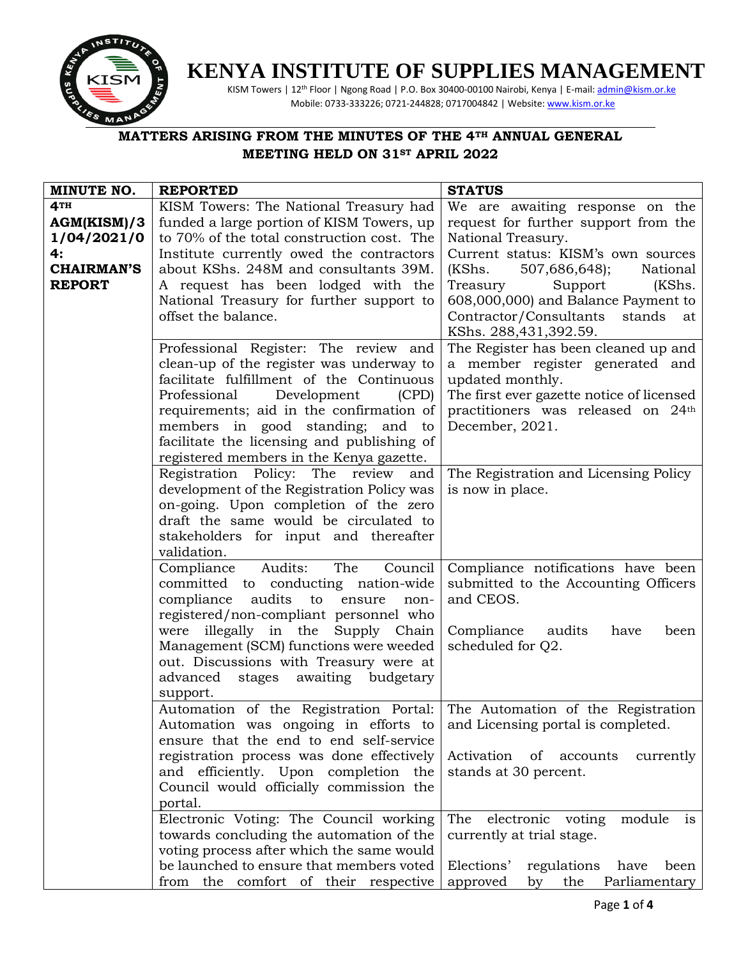

## **KENYA INSTITUTE OF SUPPLIES MANAGEMENT**

KISM Towers | 12<sup>th</sup> Floor | Ngong Road | P.O. Box 30400-00100 Nairobi, Kenya | E-mail[: admin@kism.or.ke](mailto:admin@kism.or.ke) Mobile: 0733-333226; 0721-244828; 0717004842 | Website[: www.kism.or.ke](http://www.kism.or.ke/) 

## **MATTERS ARISING FROM THE MINUTES OF THE 4TH ANNUAL GENERAL MEETING HELD ON 31ST APRIL 2022**

| MINUTE NO.                                                                                                                                                                                               | <b>REPORTED</b>                                                           | <b>STATUS</b>                                                   |  |
|----------------------------------------------------------------------------------------------------------------------------------------------------------------------------------------------------------|---------------------------------------------------------------------------|-----------------------------------------------------------------|--|
| 4TH                                                                                                                                                                                                      | KISM Towers: The National Treasury had                                    | We are awaiting response on the                                 |  |
| AGM(KISM)/3                                                                                                                                                                                              | funded a large portion of KISM Towers, up                                 | request for further support from the                            |  |
| 1/04/2021/0                                                                                                                                                                                              | to 70% of the total construction cost. The                                | National Treasury.                                              |  |
| 4:                                                                                                                                                                                                       | Institute currently owed the contractors                                  | Current status: KISM's own sources                              |  |
| <b>CHAIRMAN'S</b>                                                                                                                                                                                        | about KShs. 248M and consultants 39M.                                     | National<br>(KShs.<br>507,686,648);                             |  |
| <b>REPORT</b>                                                                                                                                                                                            | A request has been lodged with the                                        | Treasury<br>Support<br>(KShs.                                   |  |
| National Treasury for further support to                                                                                                                                                                 |                                                                           | 608,000,000) and Balance Payment to                             |  |
|                                                                                                                                                                                                          | offset the balance.                                                       | Contractor/Consultants<br>stands<br>at                          |  |
|                                                                                                                                                                                                          |                                                                           | KShs. 288,431,392.59.                                           |  |
|                                                                                                                                                                                                          | Professional Register: The review and                                     | The Register has been cleaned up and                            |  |
|                                                                                                                                                                                                          | clean-up of the register was underway to                                  | a member register generated and                                 |  |
|                                                                                                                                                                                                          | facilitate fulfillment of the Continuous                                  | updated monthly.                                                |  |
|                                                                                                                                                                                                          | Professional<br>Development<br>(CPD)                                      | The first ever gazette notice of licensed                       |  |
|                                                                                                                                                                                                          | requirements; aid in the confirmation of                                  | practitioners was released on 24th                              |  |
|                                                                                                                                                                                                          | members in good standing; and to                                          | December, 2021.                                                 |  |
|                                                                                                                                                                                                          | facilitate the licensing and publishing of                                |                                                                 |  |
|                                                                                                                                                                                                          | registered members in the Kenya gazette.                                  |                                                                 |  |
|                                                                                                                                                                                                          | Registration Policy: The review<br>and                                    | The Registration and Licensing Policy                           |  |
|                                                                                                                                                                                                          | development of the Registration Policy was                                | is now in place.                                                |  |
|                                                                                                                                                                                                          | on-going. Upon completion of the zero                                     |                                                                 |  |
|                                                                                                                                                                                                          | draft the same would be circulated to                                     |                                                                 |  |
|                                                                                                                                                                                                          | stakeholders for input and thereafter                                     |                                                                 |  |
|                                                                                                                                                                                                          | validation.                                                               |                                                                 |  |
|                                                                                                                                                                                                          | Audits:<br>The<br>Compliance<br>Council                                   | Compliance notifications have been                              |  |
|                                                                                                                                                                                                          | committed to conducting nation-wide                                       | submitted to the Accounting Officers                            |  |
|                                                                                                                                                                                                          | compliance audits to ensure<br>non-                                       | and CEOS.                                                       |  |
|                                                                                                                                                                                                          | registered/non-compliant personnel who                                    |                                                                 |  |
|                                                                                                                                                                                                          | were illegally in the Supply Chain                                        | Compliance<br>audits<br>have<br>been                            |  |
|                                                                                                                                                                                                          | Management (SCM) functions were weeded                                    | scheduled for Q2.                                               |  |
|                                                                                                                                                                                                          | out. Discussions with Treasury were at                                    |                                                                 |  |
|                                                                                                                                                                                                          | advanced stages awaiting budgetary                                        |                                                                 |  |
|                                                                                                                                                                                                          | support.                                                                  |                                                                 |  |
|                                                                                                                                                                                                          | Automation of the Registration Portal: The Automation of the Registration |                                                                 |  |
|                                                                                                                                                                                                          | Automation was ongoing in efforts to                                      | and Licensing portal is completed.                              |  |
|                                                                                                                                                                                                          | ensure that the end to end self-service                                   |                                                                 |  |
|                                                                                                                                                                                                          | registration process was done effectively                                 | Activation of<br>accounts<br>currently<br>stands at 30 percent. |  |
|                                                                                                                                                                                                          | and efficiently. Upon completion the                                      |                                                                 |  |
|                                                                                                                                                                                                          | Council would officially commission the                                   |                                                                 |  |
|                                                                                                                                                                                                          | portal.                                                                   |                                                                 |  |
| Electronic Voting: The Council working<br>towards concluding the automation of the<br>currently at trial stage.<br>voting process after which the same would<br>be launched to ensure that members voted |                                                                           | The<br>electronic voting<br>module<br>is                        |  |
|                                                                                                                                                                                                          |                                                                           |                                                                 |  |
|                                                                                                                                                                                                          |                                                                           |                                                                 |  |
|                                                                                                                                                                                                          |                                                                           | Elections'<br>regulations<br>have<br>been                       |  |
|                                                                                                                                                                                                          | from the comfort of their respective                                      | approved<br>by the<br>Parliamentary                             |  |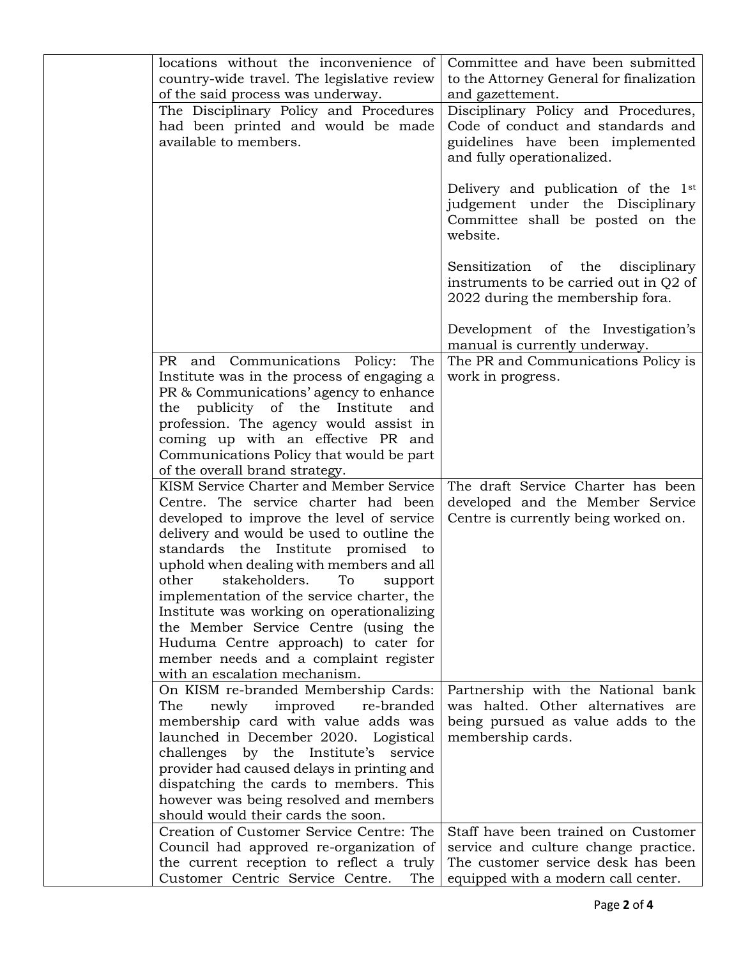| locations without the inconvenience of      | Committee and have been submitted               |
|---------------------------------------------|-------------------------------------------------|
| country-wide travel. The legislative review | to the Attorney General for finalization        |
| of the said process was underway.           | and gazettement.                                |
| The Disciplinary Policy and Procedures      | Disciplinary Policy and Procedures,             |
| had been printed and would be made          | Code of conduct and standards and               |
| available to members.                       | guidelines have been implemented                |
|                                             | and fully operationalized.                      |
|                                             |                                                 |
|                                             | Delivery and publication of the 1 <sup>st</sup> |
|                                             | judgement under the Disciplinary                |
|                                             | Committee shall be posted on the                |
|                                             | website.                                        |
|                                             |                                                 |
|                                             |                                                 |
|                                             | Sensitization of the<br>disciplinary            |
|                                             | instruments to be carried out in Q2 of          |
|                                             | 2022 during the membership fora.                |
|                                             |                                                 |
|                                             | Development of the Investigation's              |
|                                             | manual is currently underway.                   |
| PR and Communications Policy: The           | The PR and Communications Policy is             |
| Institute was in the process of engaging a  | work in progress.                               |
| PR & Communications' agency to enhance      |                                                 |
| the publicity of the Institute and          |                                                 |
| profession. The agency would assist in      |                                                 |
| coming up with an effective PR and          |                                                 |
| Communications Policy that would be part    |                                                 |
| of the overall brand strategy.              |                                                 |
| KISM Service Charter and Member Service     | The draft Service Charter has been              |
| Centre. The service charter had been        | developed and the Member Service                |
| developed to improve the level of service   | Centre is currently being worked on.            |
| delivery and would be used to outline the   |                                                 |
| standards the Institute promised to         |                                                 |
| uphold when dealing with members and all    |                                                 |
| stakeholders.<br>other<br>To<br>support     |                                                 |
| implementation of the service charter, the  |                                                 |
| Institute was working on operationalizing   |                                                 |
| the Member Service Centre (using the        |                                                 |
| Huduma Centre approach) to cater for        |                                                 |
| member needs and a complaint register       |                                                 |
| with an escalation mechanism.               |                                                 |
| On KISM re-branded Membership Cards:        | Partnership with the National bank              |
| The<br>newly<br>improved<br>re-branded      | was halted. Other alternatives are              |
|                                             | being pursued as value adds to the              |
| membership card with value adds was         |                                                 |
| launched in December 2020. Logistical       | membership cards.                               |
| challenges by the Institute's<br>service    |                                                 |
| provider had caused delays in printing and  |                                                 |
| dispatching the cards to members. This      |                                                 |
| however was being resolved and members      |                                                 |
| should would their cards the soon.          |                                                 |
| Creation of Customer Service Centre: The    | Staff have been trained on Customer             |
| Council had approved re-organization of     | service and culture change practice.            |
| the current reception to reflect a truly    | The customer service desk has been              |
| Customer Centric Service Centre.<br>The     | equipped with a modern call center.             |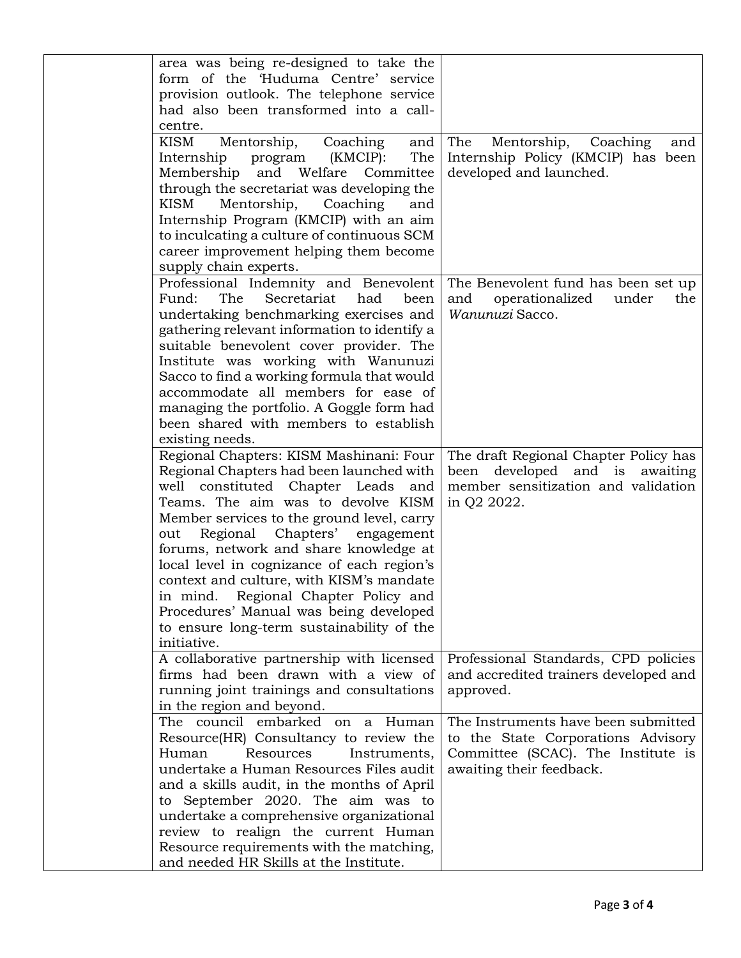| area was being re-designed to take the<br>form of the 'Huduma Centre' service<br>provision outlook. The telephone service<br>had also been transformed into a call-                                                                                                                                                                                                                                                                                                                                                                                               |                                                                                                                                             |
|-------------------------------------------------------------------------------------------------------------------------------------------------------------------------------------------------------------------------------------------------------------------------------------------------------------------------------------------------------------------------------------------------------------------------------------------------------------------------------------------------------------------------------------------------------------------|---------------------------------------------------------------------------------------------------------------------------------------------|
| centre.<br><b>KISM</b><br>Mentorship,<br>Coaching<br>and<br>(KMCIP):<br>The<br>Internship<br>program<br>Welfare Committee<br>Membership<br>and<br>through the secretariat was developing the<br>KISM<br>Mentorship,<br>Coaching<br>and<br>Internship Program (KMCIP) with an aim<br>to inculcating a culture of continuous SCM<br>career improvement helping them become                                                                                                                                                                                          | Mentorship,<br>The<br>Coaching<br>and<br>Internship Policy (KMCIP) has been<br>developed and launched.                                      |
| supply chain experts.<br>Professional Indemnity and Benevolent<br>Fund:<br>The<br>Secretariat<br>had<br>been<br>undertaking benchmarking exercises and<br>gathering relevant information to identify a<br>suitable benevolent cover provider. The<br>Institute was working with Wanunuzi<br>Sacco to find a working formula that would<br>accommodate all members for ease of<br>managing the portfolio. A Goggle form had<br>been shared with members to establish                                                                                               | The Benevolent fund has been set up<br>operationalized<br>and<br>under<br>the<br>Wanunuzi Sacco.                                            |
| existing needs.<br>Regional Chapters: KISM Mashinani: Four<br>Regional Chapters had been launched with<br>well constituted Chapter Leads and<br>Teams. The aim was to devolve KISM<br>Member services to the ground level, carry<br>Regional Chapters' engagement<br>out<br>forums, network and share knowledge at<br>local level in cognizance of each region's<br>context and culture, with KISM's mandate<br>in mind. Regional Chapter Policy and<br>Procedures' Manual was being developed<br>to ensure long-term sustainability of the<br><i>initiative.</i> | The draft Regional Chapter Policy has<br>been developed and is awaiting<br>member sensitization and validation<br>in Q2 2022.               |
| A collaborative partnership with licensed<br>firms had been drawn with a view of<br>running joint trainings and consultations<br>in the region and beyond.                                                                                                                                                                                                                                                                                                                                                                                                        | Professional Standards, CPD policies<br>and accredited trainers developed and<br>approved.                                                  |
| The council embarked on a Human<br>Resource(HR) Consultancy to review the<br>Human<br>Resources<br>Instruments,<br>undertake a Human Resources Files audit<br>and a skills audit, in the months of April<br>to September 2020. The aim was to<br>undertake a comprehensive organizational<br>review to realign the current Human<br>Resource requirements with the matching,<br>and needed HR Skills at the Institute.                                                                                                                                            | The Instruments have been submitted<br>to the State Corporations Advisory<br>Committee (SCAC). The Institute is<br>awaiting their feedback. |